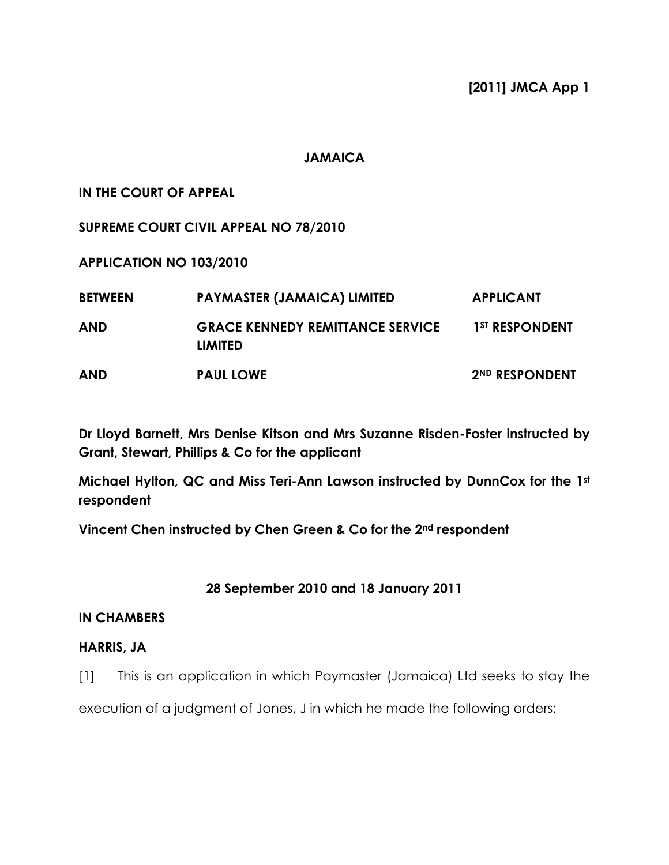### **JAMAICA**

# IN THE COURT OF APPEAL

SUPREME COURT CIVIL APPEAL NO 78/2010

APPLICATION NO 103/2010

| <b>BETWEEN</b> | <b>PAYMASTER (JAMAICA) LIMITED</b>                        | <b>APPLICANT</b>           |
|----------------|-----------------------------------------------------------|----------------------------|
| <b>AND</b>     | <b>GRACE KENNEDY REMITTANCE SERVICE</b><br><b>LIMITED</b> | 1 <sup>ST</sup> RESPONDENT |
| <b>AND</b>     | <b>PAUL LOWE</b>                                          | 2ND RESPONDENT             |

Dr Lloyd Barnett, Mrs Denise Kitson and Mrs Suzanne Risden-Foster instructed by Grant, Stewart, Phillips & Co for the applicant

Michael Hylton, QC and Miss Teri-Ann Lawson instructed by DunnCox for the 1st respondent

Vincent Chen instructed by Chen Green & Co for the 2nd respondent

# 28 September 2010 and 18 January 2011

# IN CHAMBERS

# HARRIS, JA

[1] This is an application in which Paymaster (Jamaica) Ltd seeks to stay the

execution of a judgment of Jones, J in which he made the following orders: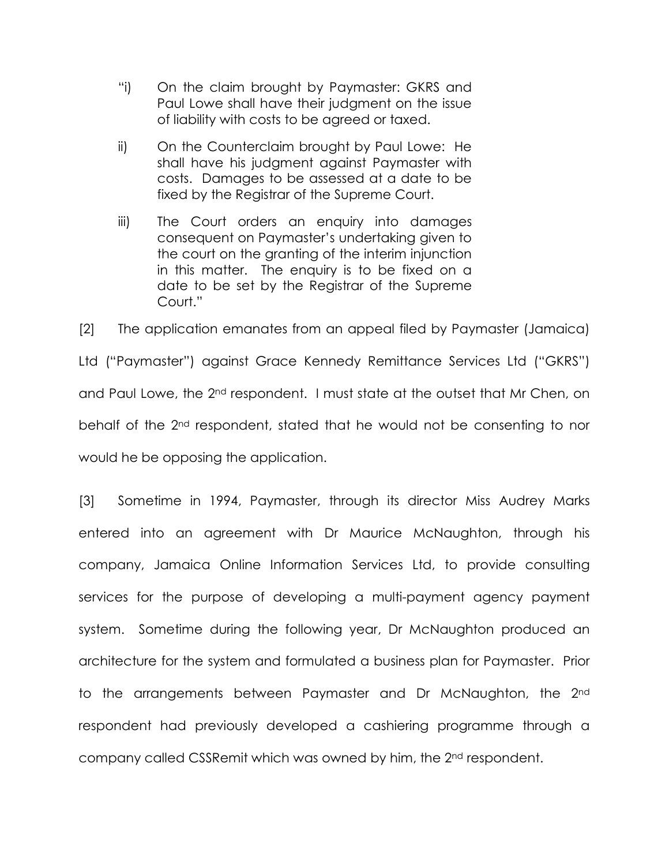- "i) On the claim brought by Paymaster: GKRS and Paul Lowe shall have their judgment on the issue of liability with costs to be agreed or taxed.
- ii) On the Counterclaim brought by Paul Lowe: He shall have his judgment against Paymaster with costs. Damages to be assessed at a date to be fixed by the Registrar of the Supreme Court.
- iii) The Court orders an enquiry into damages consequent on Paymaster's undertaking given to the court on the granting of the interim injunction in this matter. The enquiry is to be fixed on a date to be set by the Registrar of the Supreme Court."

[2] The application emanates from an appeal filed by Paymaster (Jamaica) Ltd ("Paymaster") against Grace Kennedy Remittance Services Ltd ("GKRS") and Paul Lowe, the 2nd respondent. I must state at the outset that Mr Chen, on behalf of the 2nd respondent, stated that he would not be consenting to nor would he be opposing the application.

[3] Sometime in 1994, Paymaster, through its director Miss Audrey Marks entered into an agreement with Dr Maurice McNaughton, through his company, Jamaica Online Information Services Ltd, to provide consulting services for the purpose of developing a multi-payment agency payment system. Sometime during the following year, Dr McNaughton produced an architecture for the system and formulated a business plan for Paymaster. Prior to the arrangements between Paymaster and Dr McNaughton, the 2nd respondent had previously developed a cashiering programme through a company called CSSRemit which was owned by him, the 2nd respondent.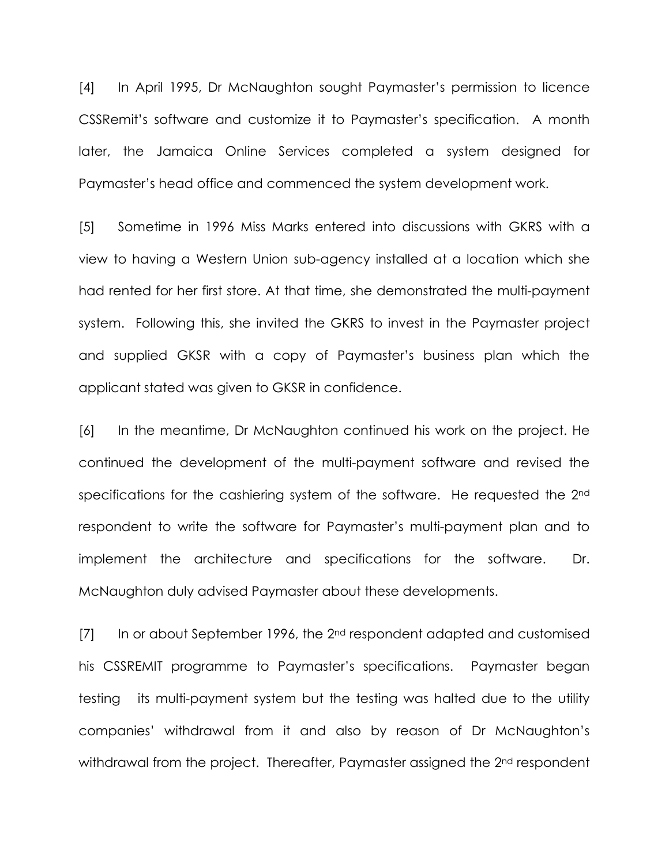[4] In April 1995, Dr McNaughton sought Paymaster's permission to licence CSSRemit's software and customize it to Paymaster's specification. A month later, the Jamaica Online Services completed a system designed for Paymaster's head office and commenced the system development work.

[5] Sometime in 1996 Miss Marks entered into discussions with GKRS with a view to having a Western Union sub-agency installed at a location which she had rented for her first store. At that time, she demonstrated the multi-payment system. Following this, she invited the GKRS to invest in the Paymaster project and supplied GKSR with a copy of Paymaster's business plan which the applicant stated was given to GKSR in confidence.

[6] In the meantime, Dr McNaughton continued his work on the project. He continued the development of the multi-payment software and revised the specifications for the cashiering system of the software. He requested the 2<sup>nd</sup> respondent to write the software for Paymaster's multi-payment plan and to implement the architecture and specifications for the software. Dr. McNaughton duly advised Paymaster about these developments.

 $[7]$  In or about September 1996, the 2<sup>nd</sup> respondent adapted and customised his CSSREMIT programme to Paymaster's specifications. Paymaster began testing its multi-payment system but the testing was halted due to the utility companies' withdrawal from it and also by reason of Dr McNaughton's withdrawal from the project. Thereafter, Paymaster assigned the 2<sup>nd</sup> respondent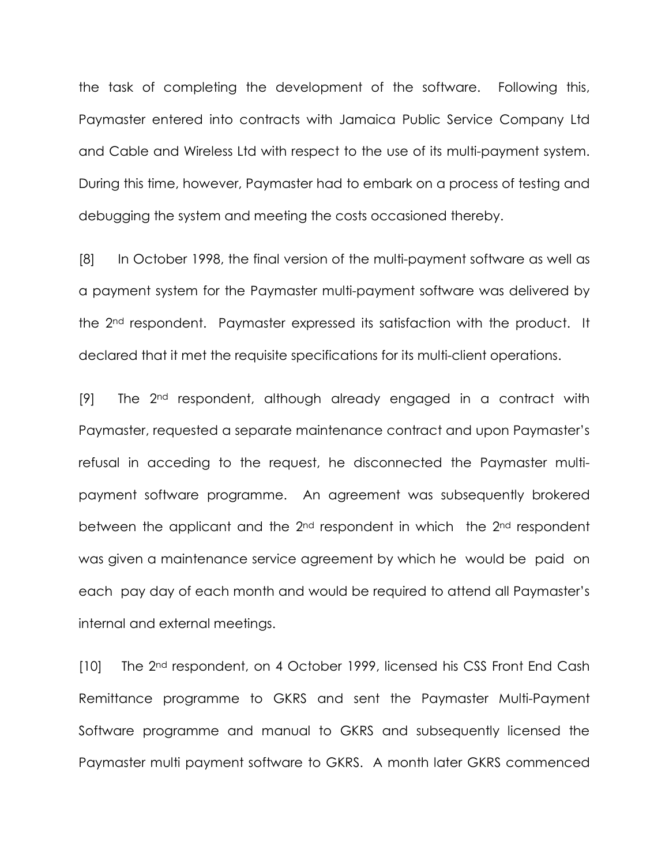the task of completing the development of the software. Following this, Paymaster entered into contracts with Jamaica Public Service Company Ltd and Cable and Wireless Ltd with respect to the use of its multi-payment system. During this time, however, Paymaster had to embark on a process of testing and debugging the system and meeting the costs occasioned thereby.

[8] In October 1998, the final version of the multi-payment software as well as a payment system for the Paymaster multi-payment software was delivered by the 2nd respondent. Paymaster expressed its satisfaction with the product. It declared that it met the requisite specifications for its multi-client operations.

[9] The 2<sup>nd</sup> respondent, although already engaged in a contract with Paymaster, requested a separate maintenance contract and upon Paymaster's refusal in acceding to the request, he disconnected the Paymaster multipayment software programme. An agreement was subsequently brokered between the applicant and the 2nd respondent in which the 2nd respondent was given a maintenance service agreement by which he would be paid on each pay day of each month and would be required to attend all Paymaster's internal and external meetings.

[10] The 2<sup>nd</sup> respondent, on 4 October 1999, licensed his CSS Front End Cash Remittance programme to GKRS and sent the Paymaster Multi-Payment Software programme and manual to GKRS and subsequently licensed the Paymaster multi payment software to GKRS. A month later GKRS commenced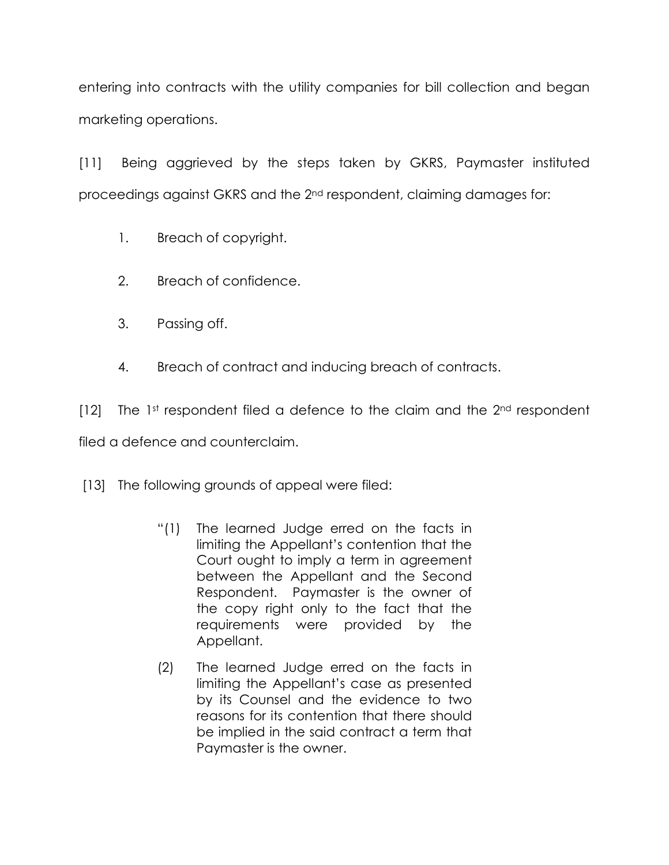entering into contracts with the utility companies for bill collection and began marketing operations.

[11] Being aggrieved by the steps taken by GKRS, Paymaster instituted proceedings against GKRS and the 2nd respondent, claiming damages for:

- 1. Breach of copyright.
- 2. Breach of confidence.
- 3. Passing off.
- 4. Breach of contract and inducing breach of contracts.

 $[12]$  The 1st respondent filed a defence to the claim and the  $2<sup>nd</sup>$  respondent filed a defence and counterclaim.

[13] The following grounds of appeal were filed:

- "(1) The learned Judge erred on the facts in limiting the Appellant's contention that the Court ought to imply a term in agreement between the Appellant and the Second Respondent. Paymaster is the owner of the copy right only to the fact that the requirements were provided by the Appellant.
- (2) The learned Judge erred on the facts in limiting the Appellant's case as presented by its Counsel and the evidence to two reasons for its contention that there should be implied in the said contract a term that Paymaster is the owner.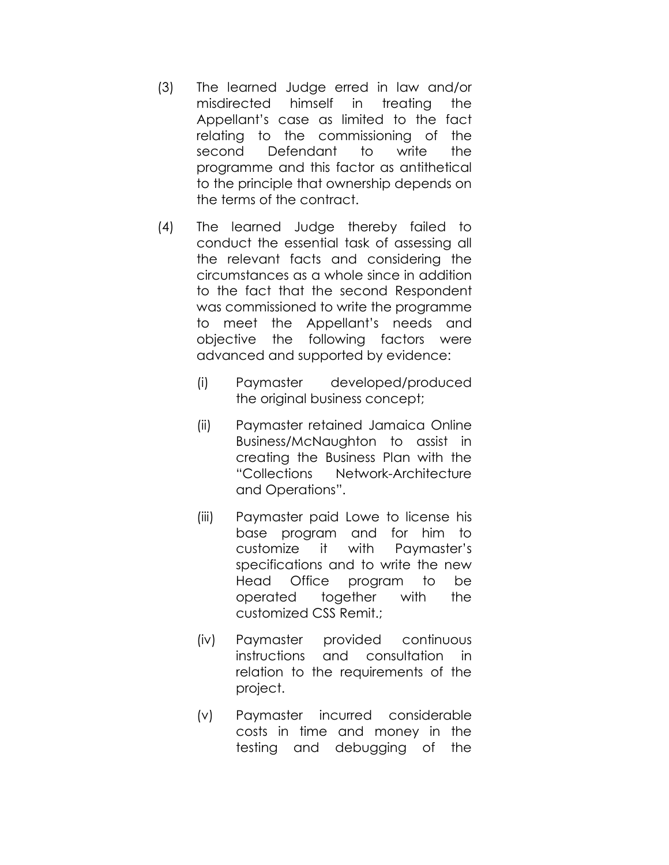- (3) The learned Judge erred in law and/or misdirected himself in treating the Appellant's case as limited to the fact relating to the commissioning of the second Defendant to write the programme and this factor as antithetical to the principle that ownership depends on the terms of the contract.
- (4) The learned Judge thereby failed to conduct the essential task of assessing all the relevant facts and considering the circumstances as a whole since in addition to the fact that the second Respondent was commissioned to write the programme to meet the Appellant's needs and objective the following factors were advanced and supported by evidence:
	- (i) Paymaster developed/produced the original business concept;
	- (ii) Paymaster retained Jamaica Online Business/McNaughton to assist in creating the Business Plan with the "Collections Network-Architecture and Operations".
	- (iii) Paymaster paid Lowe to license his base program and for him to customize it with Paymaster's specifications and to write the new Head Office program to be operated together with the customized CSS Remit.;
	- (iv) Paymaster provided continuous instructions and consultation in relation to the requirements of the project.
	- (v) Paymaster incurred considerable costs in time and money in the testing and debugging of the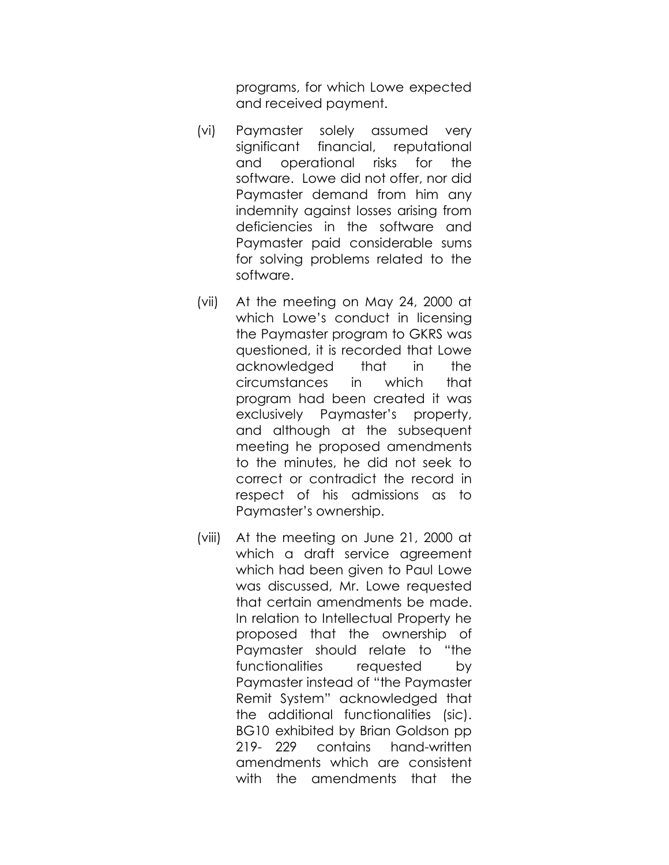programs, for which Lowe expected and received payment.

- (vi) Paymaster solely assumed very significant financial, reputational and operational risks for the software. Lowe did not offer, nor did Paymaster demand from him any indemnity against losses arising from deficiencies in the software and Paymaster paid considerable sums for solving problems related to the software.
- (vii) At the meeting on May 24, 2000 at which Lowe's conduct in licensing the Paymaster program to GKRS was questioned, it is recorded that Lowe acknowledged that in the circumstances in which that program had been created it was exclusively Paymaster's property, and although at the subsequent meeting he proposed amendments to the minutes, he did not seek to correct or contradict the record in respect of his admissions as to Paymaster's ownership.
- (viii) At the meeting on June 21, 2000 at which a draft service agreement which had been given to Paul Lowe was discussed, Mr. Lowe requested that certain amendments be made. In relation to Intellectual Property he proposed that the ownership of Paymaster should relate to "the functionalities requested by Paymaster instead of "the Paymaster Remit System" acknowledged that the additional functionalities (sic). BG10 exhibited by Brian Goldson pp 219- 229 contains hand-written amendments which are consistent with the amendments that the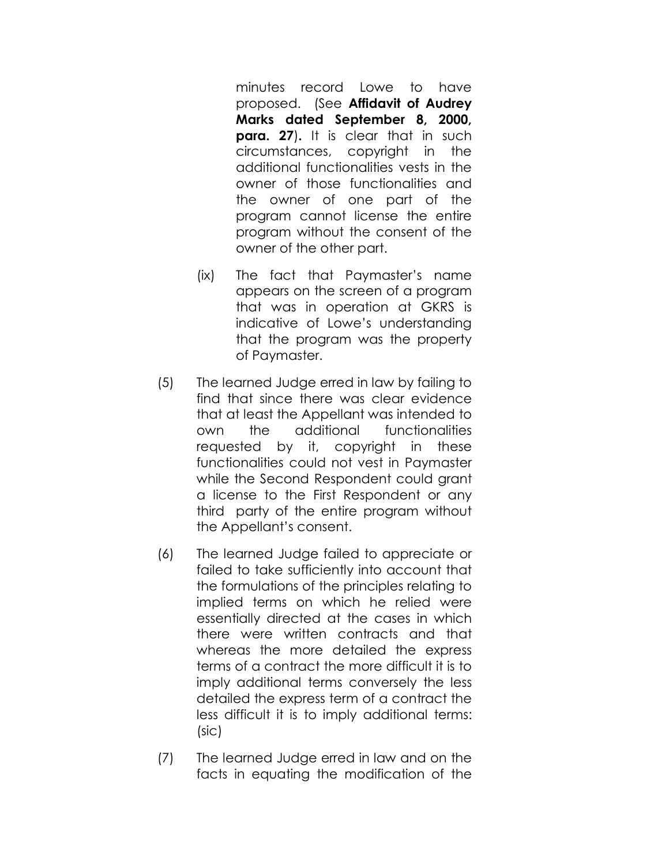minutes record Lowe to have proposed. (See Affidavit of Audrey Marks dated September 8, 2000, **para. 27).** It is clear that in such circumstances, copyright in the additional functionalities vests in the owner of those functionalities and the owner of one part of the program cannot license the entire program without the consent of the owner of the other part.

- (ix) The fact that Paymaster's name appears on the screen of a program that was in operation at GKRS is indicative of Lowe's understanding that the program was the property of Paymaster.
- (5) The learned Judge erred in law by failing to find that since there was clear evidence that at least the Appellant was intended to own the additional functionalities requested by it, copyright in these functionalities could not vest in Paymaster while the Second Respondent could grant a license to the First Respondent or any third party of the entire program without the Appellant's consent.
- (6) The learned Judge failed to appreciate or failed to take sufficiently into account that the formulations of the principles relating to implied terms on which he relied were essentially directed at the cases in which there were written contracts and that whereas the more detailed the express terms of a contract the more difficult it is to imply additional terms conversely the less detailed the express term of a contract the less difficult it is to imply additional terms: (sic)
- (7) The learned Judge erred in law and on the facts in equating the modification of the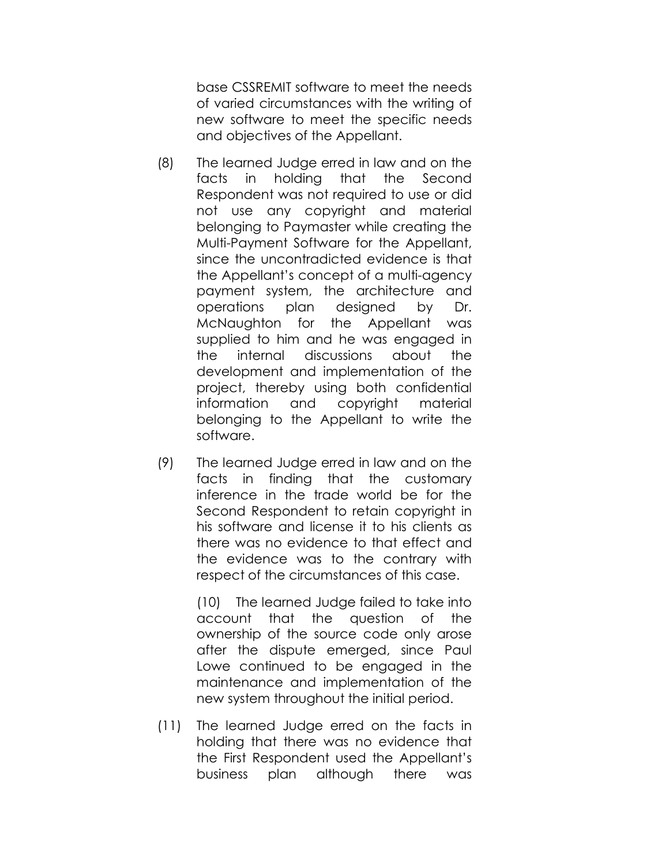base CSSREMIT software to meet the needs of varied circumstances with the writing of new software to meet the specific needs and objectives of the Appellant.

- (8) The learned Judge erred in law and on the facts in holding that the Second Respondent was not required to use or did not use any copyright and material belonging to Paymaster while creating the Multi-Payment Software for the Appellant, since the uncontradicted evidence is that the Appellant's concept of a multi-agency payment system, the architecture and operations plan designed by Dr. McNaughton for the Appellant was supplied to him and he was engaged in the internal discussions about the development and implementation of the project, thereby using both confidential information and copyright material belonging to the Appellant to write the software.
- (9) The learned Judge erred in law and on the facts in finding that the customary inference in the trade world be for the Second Respondent to retain copyright in his software and license it to his clients as there was no evidence to that effect and the evidence was to the contrary with respect of the circumstances of this case.

 (10) The learned Judge failed to take into account that the question of the ownership of the source code only arose after the dispute emerged, since Paul Lowe continued to be engaged in the maintenance and implementation of the new system throughout the initial period.

 (11) The learned Judge erred on the facts in holding that there was no evidence that the First Respondent used the Appellant's business plan although there was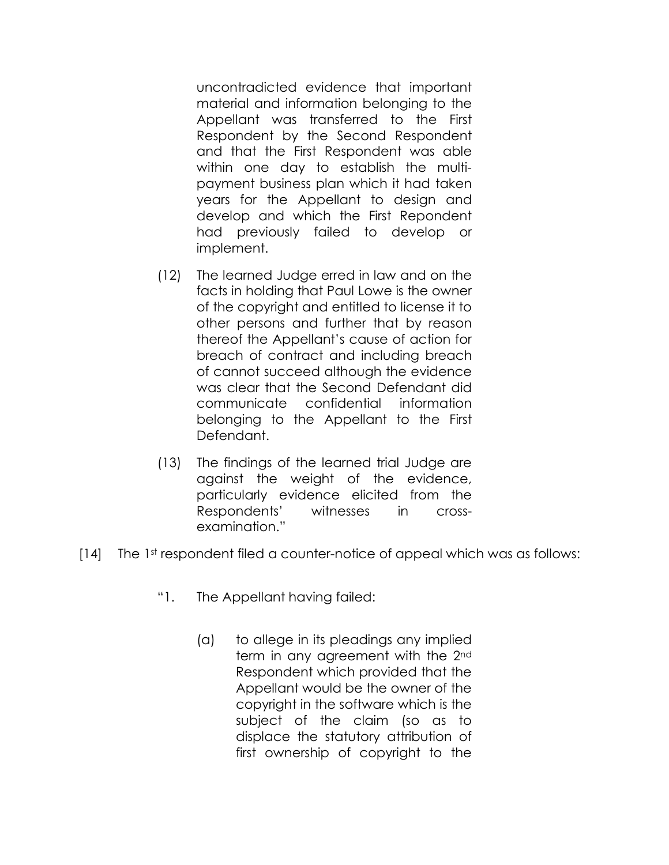uncontradicted evidence that important material and information belonging to the Appellant was transferred to the First Respondent by the Second Respondent and that the First Respondent was able within one day to establish the multi payment business plan which it had taken years for the Appellant to design and develop and which the First Repondent had previously failed to develop or implement.

- (12) The learned Judge erred in law and on the facts in holding that Paul Lowe is the owner of the copyright and entitled to license it to other persons and further that by reason thereof the Appellant's cause of action for breach of contract and including breach of cannot succeed although the evidence was clear that the Second Defendant did communicate confidential information belonging to the Appellant to the First Defendant.
- (13) The findings of the learned trial Judge are against the weight of the evidence, particularly evidence elicited from the Respondents' witnesses in cross examination."
- [14] The 1st respondent filed a counter-notice of appeal which was as follows:
	- "1. The Appellant having failed:
		- (a) to allege in its pleadings any implied term in any agreement with the 2<sup>nd</sup> Respondent which provided that the Appellant would be the owner of the copyright in the software which is the subject of the claim (so as to displace the statutory attribution of first ownership of copyright to the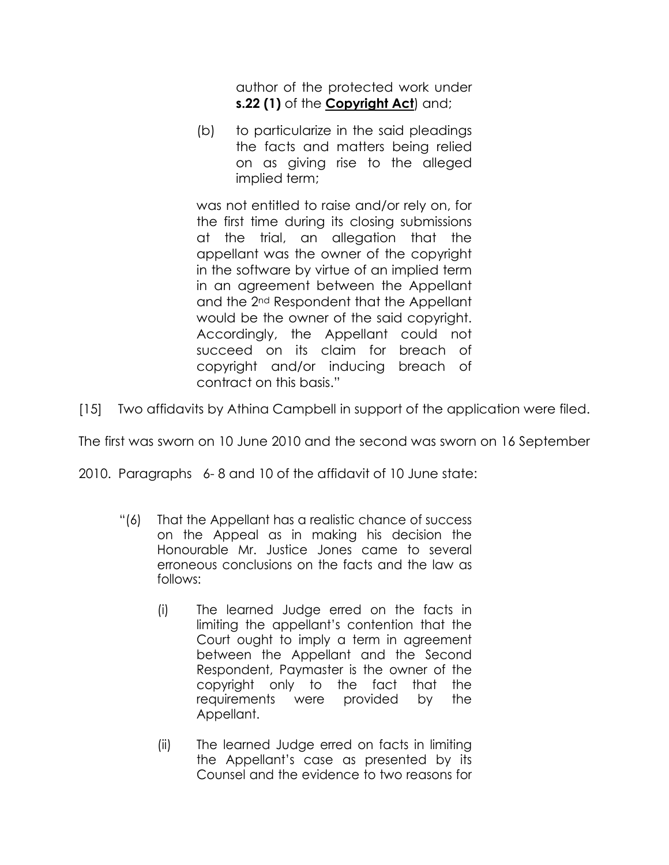author of the protected work under s.22 (1) of the Copyright Act) and;

 (b) to particularize in the said pleadings the facts and matters being relied on as giving rise to the alleged implied term;

 was not entitled to raise and/or rely on, for the first time during its closing submissions at the trial, an allegation that the appellant was the owner of the copyright in the software by virtue of an implied term in an agreement between the Appellant and the 2nd Respondent that the Appellant would be the owner of the said copyright. Accordingly, the Appellant could not succeed on its claim for breach of copyright and/or inducing breach of contract on this basis."

[15] Two affidavits by Athina Campbell in support of the application were filed.

The first was sworn on 10 June 2010 and the second was sworn on 16 September

2010. Paragraphs 6- 8 and 10 of the affidavit of 10 June state:

- "(6) That the Appellant has a realistic chance of success on the Appeal as in making his decision the Honourable Mr. Justice Jones came to several erroneous conclusions on the facts and the law as follows:
	- (i) The learned Judge erred on the facts in limiting the appellant's contention that the Court ought to imply a term in agreement between the Appellant and the Second Respondent, Paymaster is the owner of the copyright only to the fact that the requirements were provided by the Appellant.
	- (ii) The learned Judge erred on facts in limiting the Appellant's case as presented by its Counsel and the evidence to two reasons for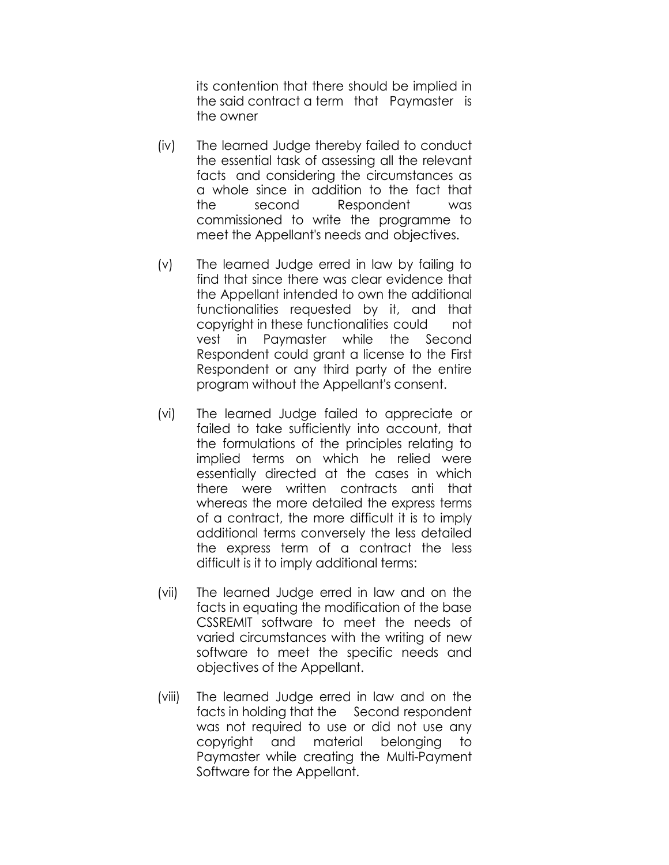its contention that there should be implied in the said contract a term that Paymaster is the owner

- (iv) The learned Judge thereby failed to conduct the essential task of assessing all the relevant facts and considering the circumstances as a whole since in addition to the fact that the second Respondent was commissioned to write the programme to meet the Appellant's needs and objectives.
- (v) The learned Judge erred in law by failing to find that since there was clear evidence that the Appellant intended to own the additional functionalities requested by it, and that copyright in these functionalities could not vest in Paymaster while the Second Respondent could grant a license to the First Respondent or any third party of the entire program without the Appellant's consent.
- (vi) The learned Judge failed to appreciate or failed to take sufficiently into account, that the formulations of the principles relating to implied terms on which he relied were essentially directed at the cases in which there were written contracts anti that whereas the more detailed the express terms of a contract, the more difficult it is to imply additional terms conversely the less detailed the express term of a contract the less difficult is it to imply additional terms:
- (vii) The learned Judge erred in law and on the facts in equating the modification of the base CSSREMIT software to meet the needs of varied circumstances with the writing of new software to meet the specific needs and objectives of the Appellant.
- (viii) The learned Judge erred in law and on the facts in holding that the Second respondent was not required to use or did not use any copyright and material belonging to Paymaster while creating the Multi-Payment Software for the Appellant.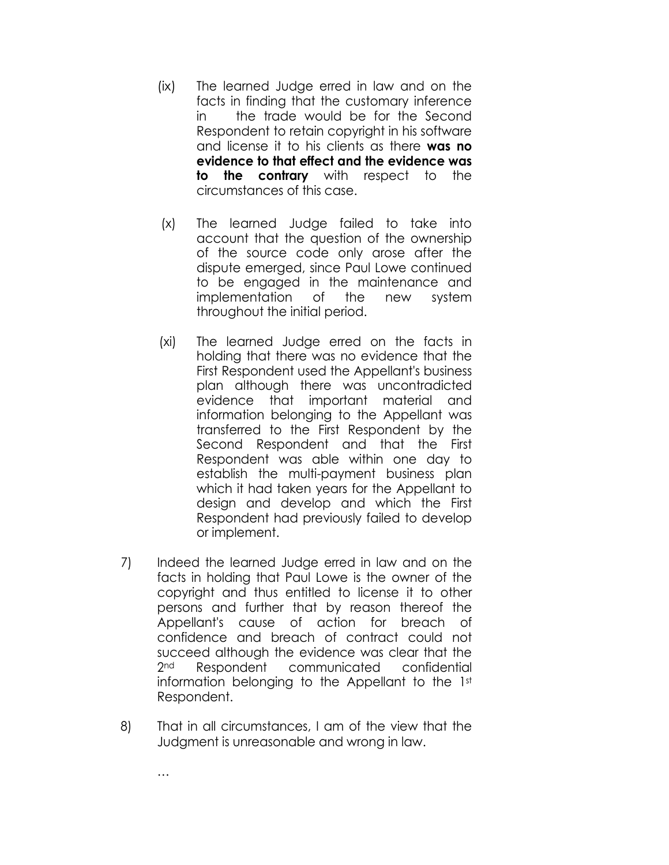- (ix) The learned Judge erred in law and on the facts in finding that the customary inference in the trade would be for the Second Respondent to retain copyright in his software and license it to his clients as there was no evidence to that effect and the evidence was to the contrary with respect to the circumstances of this case.
- (x) The learned Judge failed to take into account that the question of the ownership of the source code only arose after the dispute emerged, since Paul Lowe continued to be engaged in the maintenance and implementation of the new system throughout the initial period.
- (xi) The learned Judge erred on the facts in holding that there was no evidence that the First Respondent used the Appellant's business plan although there was uncontradicted evidence that important material and information belonging to the Appellant was transferred to the First Respondent by the Second Respondent and that the First Respondent was able within one day to establish the multi-payment business plan which it had taken years for the Appellant to design and develop and which the First Respondent had previously failed to develop or implement.
- 7) Indeed the learned Judge erred in law and on the facts in holding that Paul Lowe is the owner of the copyright and thus entitled to license it to other persons and further that by reason thereof the Appellant's cause of action for breach of confidence and breach of contract could not succeed although the evidence was clear that the 2<sup>nd</sup> Respondent communicated confidential information belonging to the Appellant to the 1st Respondent.
- 8) That in all circumstances, I am of the view that the Judgment is unreasonable and wrong in law.

…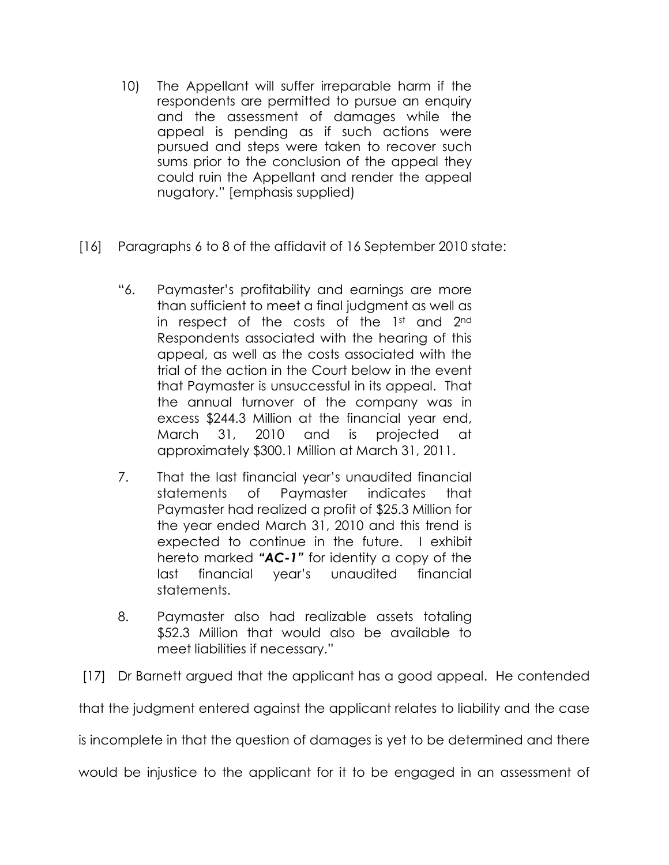- 10) The Appellant will suffer irreparable harm if the respondents are permitted to pursue an enquiry and the assessment of damages while the appeal is pending as if such actions were pursued and steps were taken to recover such sums prior to the conclusion of the appeal they could ruin the Appellant and render the appeal nugatory." [emphasis supplied)
- [16] Paragraphs 6 to 8 of the affidavit of 16 September 2010 state:
	- "6. Paymaster's profitability and earnings are more than sufficient to meet a final judgment as well as in respect of the costs of the 1st and 2nd Respondents associated with the hearing of this appeal, as well as the costs associated with the trial of the action in the Court below in the event that Paymaster is unsuccessful in its appeal. That the annual turnover of the company was in excess \$244.3 Million at the financial year end, March 31, 2010 and is projected at approximately \$300.1 Million at March 31, 2011.
	- 7. That the last financial year's unaudited financial statements of Paymaster indicates that Paymaster had realized a profit of \$25.3 Million for the year ended March 31, 2010 and this trend is expected to continue in the future. I exhibit hereto marked "AC-1" for identity a copy of the last financial year's unaudited financial statements.
	- 8. Paymaster also had realizable assets totaling \$52.3 Million that would also be available to meet liabilities if necessary."

[17] Dr Barnett argued that the applicant has a good appeal. He contended

that the judgment entered against the applicant relates to liability and the case

is incomplete in that the question of damages is yet to be determined and there

would be injustice to the applicant for it to be engaged in an assessment of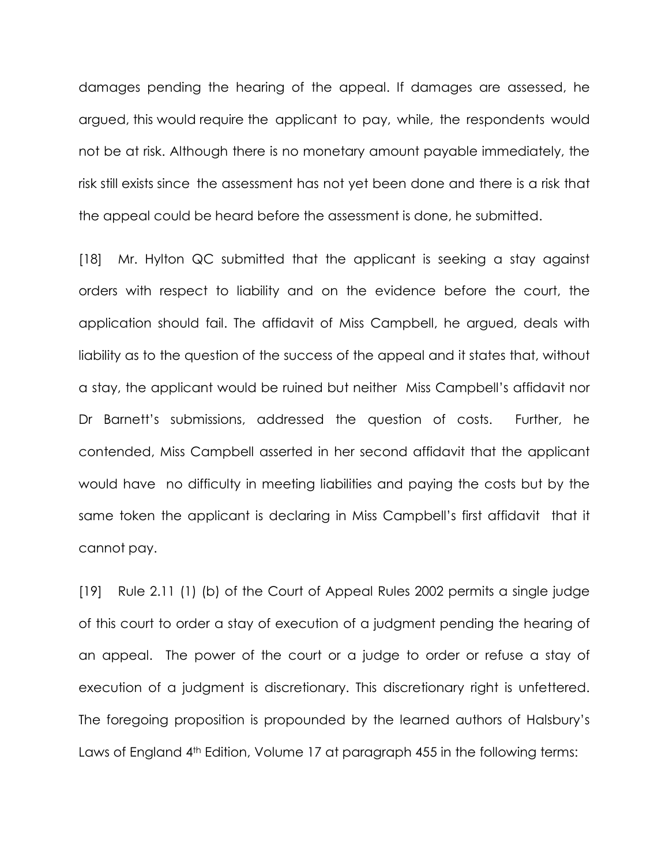damages pending the hearing of the appeal. If damages are assessed, he argued, this would require the applicant to pay, while, the respondents would not be at risk. Although there is no monetary amount payable immediately, the risk still exists since the assessment has not yet been done and there is a risk that the appeal could be heard before the assessment is done, he submitted.

[18] Mr. Hylton QC submitted that the applicant is seeking a stay against orders with respect to liability and on the evidence before the court, the application should fail. The affidavit of Miss Campbell, he argued, deals with liability as to the question of the success of the appeal and it states that, without a stay, the applicant would be ruined but neither Miss Campbell's affidavit nor Dr Barnett's submissions, addressed the question of costs. Further, he contended, Miss Campbell asserted in her second affidavit that the applicant would have no difficulty in meeting liabilities and paying the costs but by the same token the applicant is declaring in Miss Campbell's first affidavit that it cannot pay.

[19] Rule 2.11 (1) (b) of the Court of Appeal Rules 2002 permits a single judge of this court to order a stay of execution of a judgment pending the hearing of an appeal. The power of the court or a judge to order or refuse a stay of execution of a judgment is discretionary. This discretionary right is unfettered. The foregoing proposition is propounded by the learned authors of Halsbury's Laws of England 4<sup>th</sup> Edition, Volume 17 at paragraph 455 in the following terms: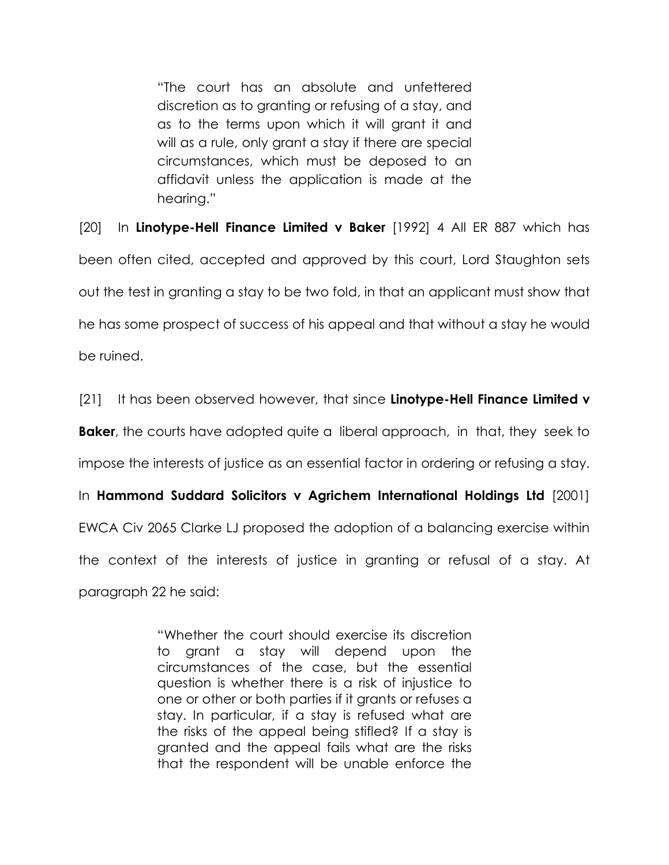"The court has an absolute and unfettered discretion as to granting or refusing of a stay, and as to the terms upon which it will grant it and will as a rule, only grant a stay if there are special circumstances, which must be deposed to an affidavit unless the application is made at the hearing."

[20] In Linotype-Hell Finance Limited v Baker [1992] 4 All ER 887 which has been often cited, accepted and approved by this court, Lord Staughton sets out the test in granting a stay to be two fold, in that an applicant must show that he has some prospect of success of his appeal and that without a stay he would be ruined.

[21] It has been observed however, that since Linotype-Hell Finance Limited v **Baker**, the courts have adopted quite a liberal approach, in that, they seek to impose the interests of justice as an essential factor in ordering or refusing a stay. In Hammond Suddard Solicitors v Agrichem International Holdings Ltd [2001] EWCA Civ 2065 Clarke LJ proposed the adoption of a balancing exercise within the context of the interests of justice in granting or refusal of a stay. At paragraph 22 he said:

> "Whether the court should exercise its discretion to grant a stay will depend upon the circumstances of the case, but the essential question is whether there is a risk of injustice to one or other or both parties if it grants or refuses a stay. In particular, if a stay is refused what are the risks of the appeal being stifled? If a stay is granted and the appeal fails what are the risks that the respondent will be unable enforce the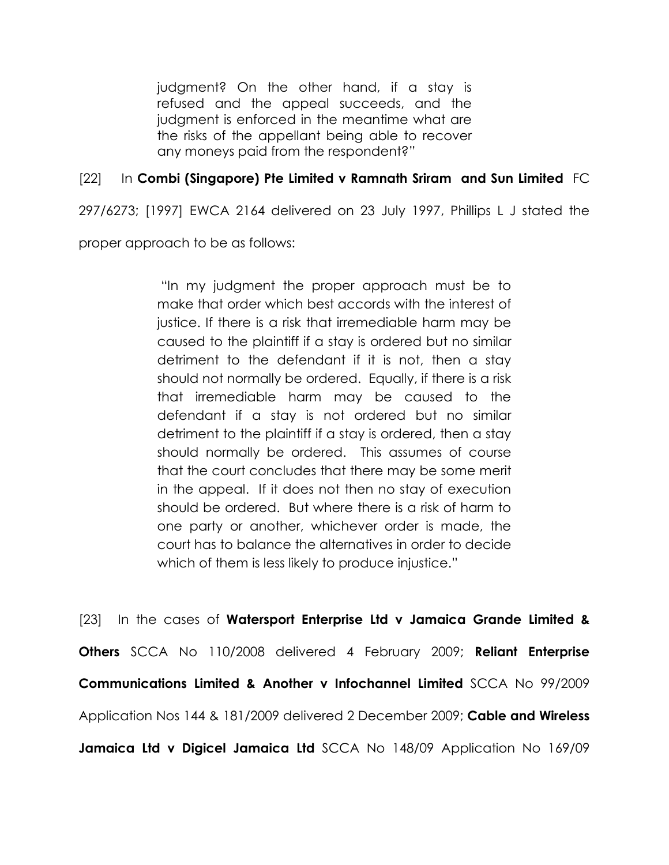judgment? On the other hand, if a stay is refused and the appeal succeeds, and the judgment is enforced in the meantime what are the risks of the appellant being able to recover any moneys paid from the respondent?"

# [22] In Combi (Singapore) Pte Limited v Ramnath Sriram and Sun Limited FC

297/6273; [1997] EWCA 2164 delivered on 23 July 1997, Phillips L J stated the

proper approach to be as follows:

 "In my judgment the proper approach must be to make that order which best accords with the interest of justice. If there is a risk that irremediable harm may be caused to the plaintiff if a stay is ordered but no similar detriment to the defendant if it is not, then a stay should not normally be ordered. Equally, if there is a risk that irremediable harm may be caused to the defendant if a stay is not ordered but no similar detriment to the plaintiff if a stay is ordered, then a stay should normally be ordered. This assumes of course that the court concludes that there may be some merit in the appeal. If it does not then no stay of execution should be ordered. But where there is a risk of harm to one party or another, whichever order is made, the court has to balance the alternatives in order to decide which of them is less likely to produce injustice."

[23] In the cases of Watersport Enterprise Ltd v Jamaica Grande Limited & Others SCCA No 110/2008 delivered 4 February 2009; Reliant Enterprise Communications Limited & Another v Infochannel Limited SCCA No 99/2009 Application Nos 144 & 181/2009 delivered 2 December 2009; Cable and Wireless Jamaica Ltd v Digicel Jamaica Ltd SCCA No 148/09 Application No 169/09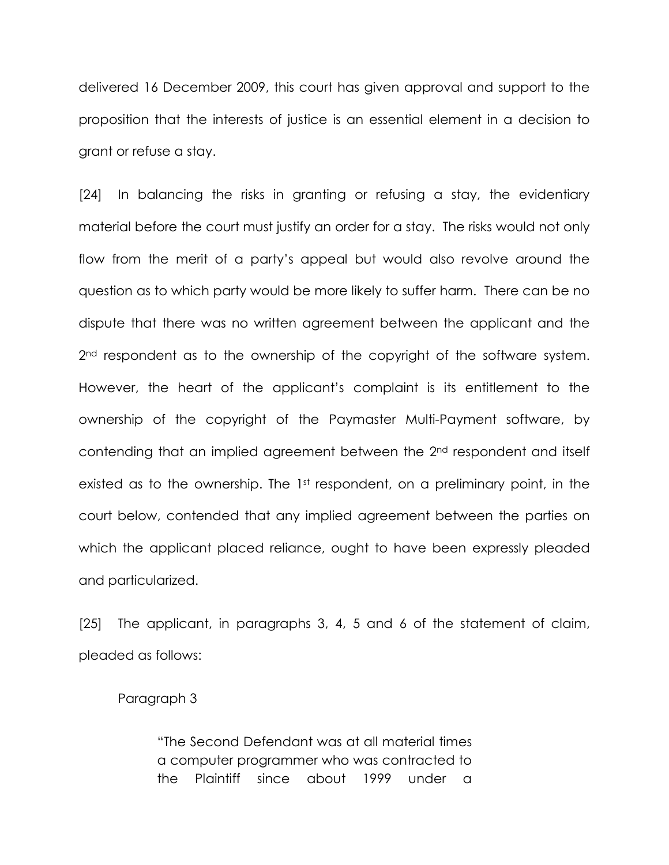delivered 16 December 2009, this court has given approval and support to the proposition that the interests of justice is an essential element in a decision to grant or refuse a stay.

[24] In balancing the risks in granting or refusing a stay, the evidentiary material before the court must justify an order for a stay. The risks would not only flow from the merit of a party's appeal but would also revolve around the question as to which party would be more likely to suffer harm. There can be no dispute that there was no written agreement between the applicant and the 2<sup>nd</sup> respondent as to the ownership of the copyright of the software system. However, the heart of the applicant's complaint is its entitlement to the ownership of the copyright of the Paymaster Multi-Payment software, by contending that an implied agreement between the 2nd respondent and itself existed as to the ownership. The 1<sup>st</sup> respondent, on a preliminary point, in the court below, contended that any implied agreement between the parties on which the applicant placed reliance, ought to have been expressly pleaded and particularized.

[25] The applicant, in paragraphs 3, 4, 5 and 6 of the statement of claim, pleaded as follows:

### Paragraph 3

 "The Second Defendant was at all material times a computer programmer who was contracted to the Plaintiff since about 1999 under a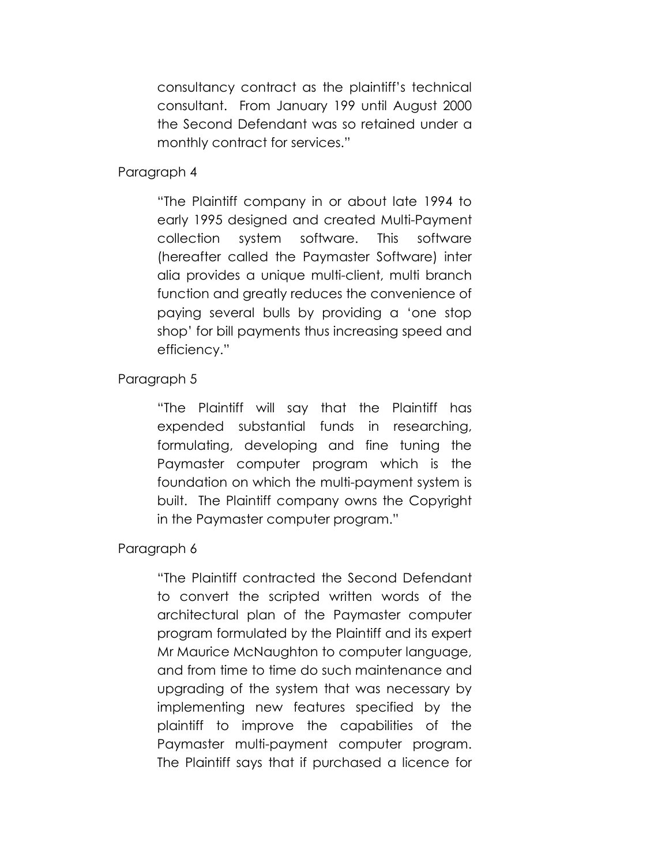consultancy contract as the plaintiff's technical consultant. From January 199 until August 2000 the Second Defendant was so retained under a monthly contract for services."

### Paragraph 4

 "The Plaintiff company in or about late 1994 to early 1995 designed and created Multi-Payment collection system software. This software (hereafter called the Paymaster Software) inter alia provides a unique multi-client, multi branch function and greatly reduces the convenience of paying several bulls by providing a 'one stop shop' for bill payments thus increasing speed and efficiency."

# Paragraph 5

 "The Plaintiff will say that the Plaintiff has expended substantial funds in researching, formulating, developing and fine tuning the Paymaster computer program which is the foundation on which the multi-payment system is built. The Plaintiff company owns the Copyright in the Paymaster computer program."

# Paragraph 6

 "The Plaintiff contracted the Second Defendant to convert the scripted written words of the architectural plan of the Paymaster computer program formulated by the Plaintiff and its expert Mr Maurice McNaughton to computer language, and from time to time do such maintenance and upgrading of the system that was necessary by implementing new features specified by the plaintiff to improve the capabilities of the Paymaster multi-payment computer program. The Plaintiff says that if purchased a licence for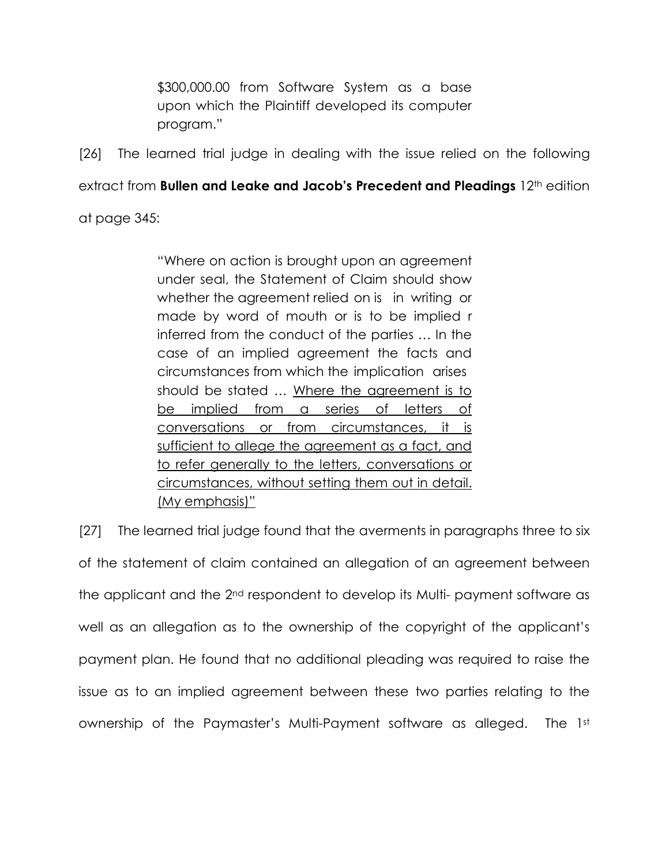\$300,000.00 from Software System as a base upon which the Plaintiff developed its computer program."

[26] The learned trial judge in dealing with the issue relied on the following

extract from Bullen and Leake and Jacob's Precedent and Pleadings 12<sup>th</sup> edition

at page 345:

 "Where on action is brought upon an agreement under seal, the Statement of Claim should show whether the agreement relied on is in writing or made by word of mouth or is to be implied r inferred from the conduct of the parties … In the case of an implied agreement the facts and circumstances from which the implication arises should be stated … Where the agreement is to be implied from a series of letters of conversations or from circumstances, it is sufficient to allege the agreement as a fact, and to refer generally to the letters, conversations or circumstances, without setting them out in detail. (My emphasis)"

[27] The learned trial judge found that the averments in paragraphs three to six of the statement of claim contained an allegation of an agreement between the applicant and the 2nd respondent to develop its Multi- payment software as well as an allegation as to the ownership of the copyright of the applicant's payment plan. He found that no additional pleading was required to raise the issue as to an implied agreement between these two parties relating to the ownership of the Paymaster's Multi-Payment software as alleged. The 1st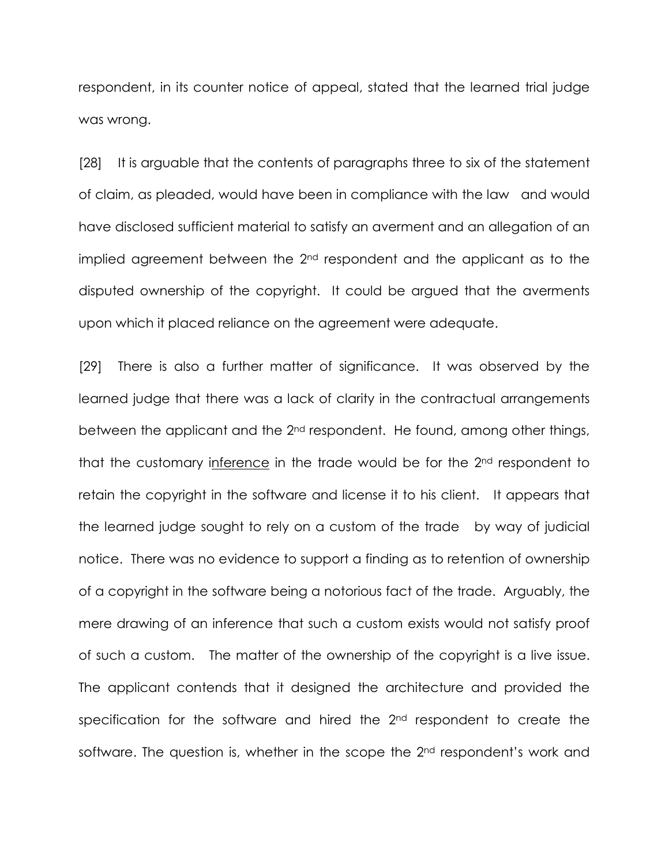respondent, in its counter notice of appeal, stated that the learned trial judge was wrong.

[28] It is arguable that the contents of paragraphs three to six of the statement of claim, as pleaded, would have been in compliance with the law and would have disclosed sufficient material to satisfy an averment and an allegation of an implied agreement between the 2<sup>nd</sup> respondent and the applicant as to the disputed ownership of the copyright. It could be argued that the averments upon which it placed reliance on the agreement were adequate.

[29] There is also a further matter of significance. It was observed by the learned judge that there was a lack of clarity in the contractual arrangements between the applicant and the 2nd respondent. He found, among other things, that the customary inference in the trade would be for the 2nd respondent to retain the copyright in the software and license it to his client. It appears that the learned judge sought to rely on a custom of the trade by way of judicial notice. There was no evidence to support a finding as to retention of ownership of a copyright in the software being a notorious fact of the trade. Arguably, the mere drawing of an inference that such a custom exists would not satisfy proof of such a custom. The matter of the ownership of the copyright is a live issue. The applicant contends that it designed the architecture and provided the specification for the software and hired the 2<sup>nd</sup> respondent to create the software. The question is, whether in the scope the 2<sup>nd</sup> respondent's work and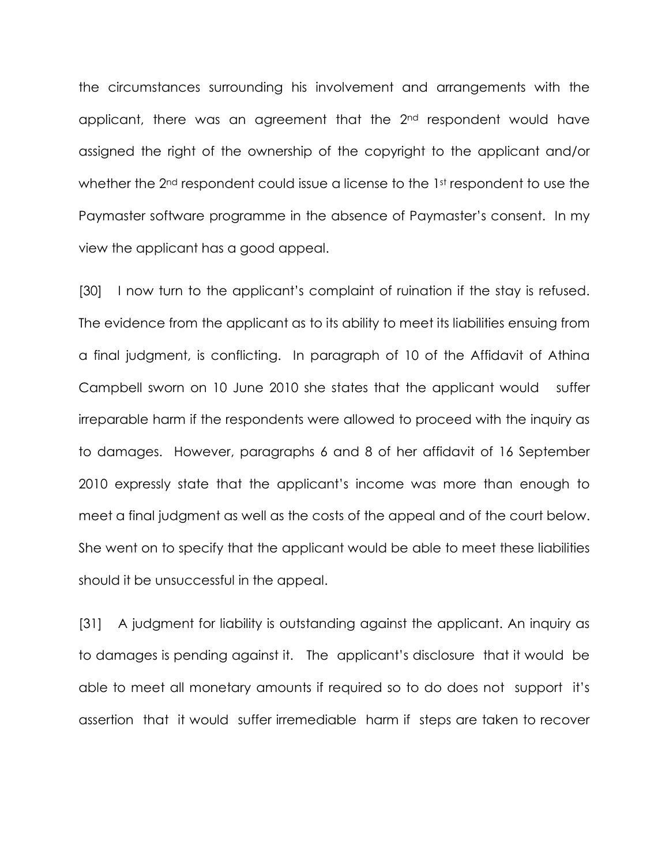the circumstances surrounding his involvement and arrangements with the applicant, there was an agreement that the 2<sup>nd</sup> respondent would have assigned the right of the ownership of the copyright to the applicant and/or whether the 2<sup>nd</sup> respondent could issue a license to the 1st respondent to use the Paymaster software programme in the absence of Paymaster's consent. In my view the applicant has a good appeal.

[30] I now turn to the applicant's complaint of ruination if the stay is refused. The evidence from the applicant as to its ability to meet its liabilities ensuing from a final judgment, is conflicting. In paragraph of 10 of the Affidavit of Athina Campbell sworn on 10 June 2010 she states that the applicant would suffer irreparable harm if the respondents were allowed to proceed with the inquiry as to damages. However, paragraphs 6 and 8 of her affidavit of 16 September 2010 expressly state that the applicant's income was more than enough to meet a final judgment as well as the costs of the appeal and of the court below. She went on to specify that the applicant would be able to meet these liabilities should it be unsuccessful in the appeal.

[31] A judgment for liability is outstanding against the applicant. An inquiry as to damages is pending against it. The applicant's disclosure that it would be able to meet all monetary amounts if required so to do does not support it's assertion that it would suffer irremediable harm if steps are taken to recover